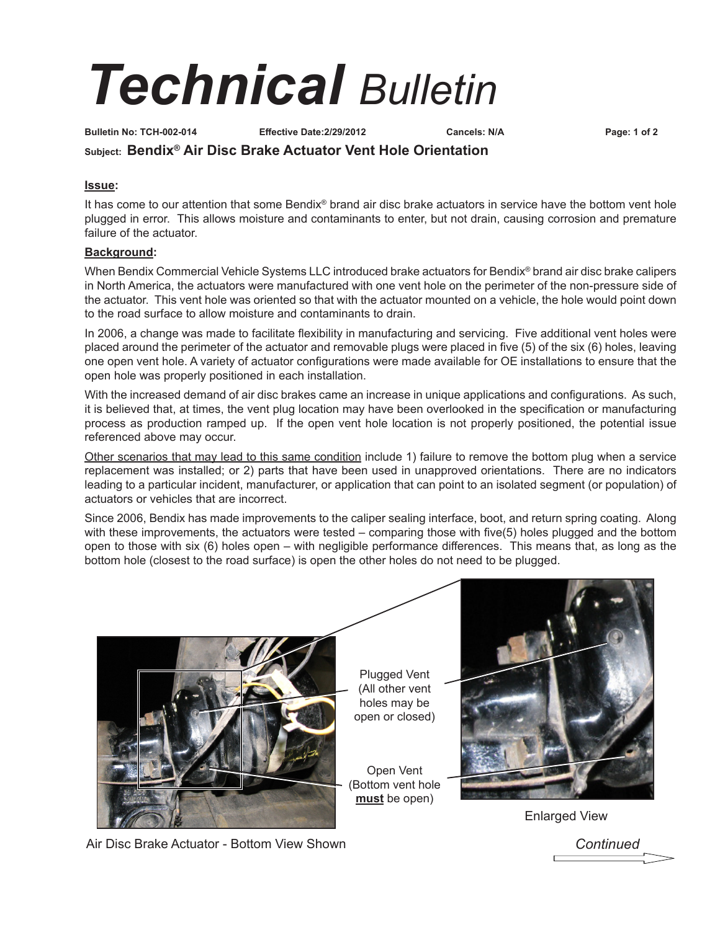## *Technical Bulletin*

**Bulletin No: TCH-002-014 Effective Date:2/29/2012 Cancels: N/A Page: 1 of 2**

### **Subject: Bendix® Air Disc Brake Actuator Vent Hole Orientation**

#### **Issue:**

It has come to our attention that some Bendix® brand air disc brake actuators in service have the bottom vent hole plugged in error. This allows moisture and contaminants to enter, but not drain, causing corrosion and premature failure of the actuator.

#### **Background:**

When Bendix Commercial Vehicle Systems LLC introduced brake actuators for Bendix® brand air disc brake calipers in North America, the actuators were manufactured with one vent hole on the perimeter of the non-pressure side of the actuator. This vent hole was oriented so that with the actuator mounted on a vehicle, the hole would point down to the road surface to allow moisture and contaminants to drain.

In 2006, a change was made to facilitate flexibility in manufacturing and servicing. Five additional vent holes were placed around the perimeter of the actuator and removable plugs were placed in five (5) of the six (6) holes, leaving one open vent hole. A variety of actuator configurations were made available for OE installations to ensure that the open hole was properly positioned in each installation.

With the increased demand of air disc brakes came an increase in unique applications and configurations. As such, it is believed that, at times, the vent plug location may have been overlooked in the specification or manufacturing process as production ramped up. If the open vent hole location is not properly positioned, the potential issue referenced above may occur.

Other scenarios that may lead to this same condition include 1) failure to remove the bottom plug when a service replacement was installed; or 2) parts that have been used in unapproved orientations. There are no indicators leading to a particular incident, manufacturer, or application that can point to an isolated segment (or population) of actuators or vehicles that are incorrect.

Since 2006, Bendix has made improvements to the caliper sealing interface, boot, and return spring coating. Along with these improvements, the actuators were tested – comparing those with five(5) holes plugged and the bottom open to those with six (6) holes open – with negligible performance differences. This means that, as long as the bottom hole (closest to the road surface) is open the other holes do not need to be plugged.



Plugged Vent (All other vent holes may be open or closed)

Open Vent (Bottom vent hole **must** be open)



Enlarged View

Air Disc Brake Actuator - Bottom View Shown

*Continued*